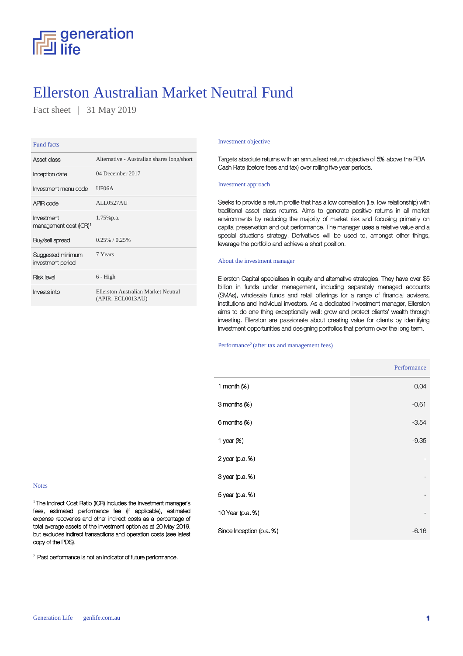

# Ellerston Australian Market Neutral Fund

Fact sheet | 31 May 2019

| <b>Fund facts</b>                                |                                                          |
|--------------------------------------------------|----------------------------------------------------------|
| Asset class                                      | Alternative - Australian shares long/short               |
| Inception date                                   | 04 December 2017                                         |
| Investment menu code                             | UF06A                                                    |
| APIR code                                        | ALL0527AU                                                |
| Investment<br>management cost (ICR) <sup>1</sup> | 1.75%p.a.                                                |
| Buy/sell spread                                  | $0.25\% / 0.25\%$                                        |
| Suggested minimum<br>investment period           | 7 Years                                                  |
| <b>Risk level</b>                                | $6 - High$                                               |
| Invests into                                     | Ellerston Australian Market Neutral<br>(APIR: ECL0013AU) |

### Investment objective

Targets absolute returns with an annualised return objective of 5% above the RBA Cash Rate (before fees and tax) over rolling five year periods.

### Investment approach

Seeks to provide a return profile that has a low correlation (i.e. low relationship) with traditional asset class returns. Aims to generate positive returns in all market environments by reducing the majority of market risk and focusing primarily on capital preservation and out performance. The manager uses a relative value and a special situations strategy. Derivatives will be used to, amongst other things, leverage the portfolio and achieve a short position.

### About the investment manager

Ellerston Capital specialises in equity and alternative strategies. They have over \$5 billion in funds under management, including separately managed accounts (SMAs), wholesale funds and retail offerings for a range of financial advisers, institutions and individual investors. As a dedicated investment manager, Ellerston aims to do one thing exceptionally well: grow and protect clients' wealth through investing. Ellerston are passionate about creating value for clients by identifying investment opportunities and designing portfolios that perform over the long term.

### Performance<sup>2</sup> (after tax and management fees)

|                         | Performance              |
|-------------------------|--------------------------|
| 1 month $(X)$           | 0.04                     |
| 3 months (%)            | $-0.61$                  |
| 6 months (%)            | $-3.54$                  |
| 1 year $(X)$            | $-9.35$                  |
| 2 year (p.a.%)          |                          |
| 3 year (p.a. %)         | $\overline{\phantom{0}}$ |
| 5 year (p.a.%)          |                          |
| 10 Year (p.a. %)        | ۰                        |
| Since Inception (p.a.%) | $-6.16$                  |

#### Notes

<sup>1</sup> The Indirect Cost Ratio (ICR) includes the investment manager's fees, estimated performance fee (if applicable), estimated expense recoveries and other indirect costs as a percentage of total average assets of the investment option as at 20 May 2019, but excludes indirect transactions and operation costs (see latest copy of the PDS).

 $2$  Past performance is not an indicator of future performance.